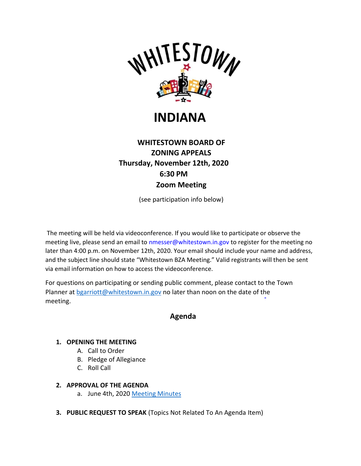

# **INDIANA**

## **WHITESTOWN BOARD OF ZONING APPEALS Thursday, November 12th, 2020 6:30 PM Zoom Meeting**

(see participation info below)

The meeting will be held via videoconference. If you would like to participate or observe the meeting live, please send an email to [nmesser@whitestown.in.gov t](mailto:nmesser@whitestown.in.gov)o register for the meeting no later than 4:00 p.m. on November 12th, 2020. Your email should include your name and address, and the subject line should state "Whitestown BZA Meeting." Valid registrants will then be sent via email information on how to access the videoconference.

For questions on participating or sending public comment, please contact to the Town Planner at [bgarriott@whitestown.in.gov](mailto:bgarriott@whitestown.in.gov) no later than noon on the date of the meeting.

### **Agenda**

#### **1. OPENING THE MEETING**

- A. Call to Order
- B. Pledge of Allegiance
- C. Roll Call

#### **2. APPROVAL OF THE AGENDA**

- a. June 4th, 2020 [Meeting Minutes](https://whitestown.in.gov/vertical/sites/%7BB8BE8AC3-9DE8-4247-BCB0-1173F48CC7C3%7D/uploads/06-04-20_BZA_Meeting_Minutes(1).pdf)
- **3. PUBLIC REQUEST TO SPEAK** (Topics Not Related To An Agenda Item)